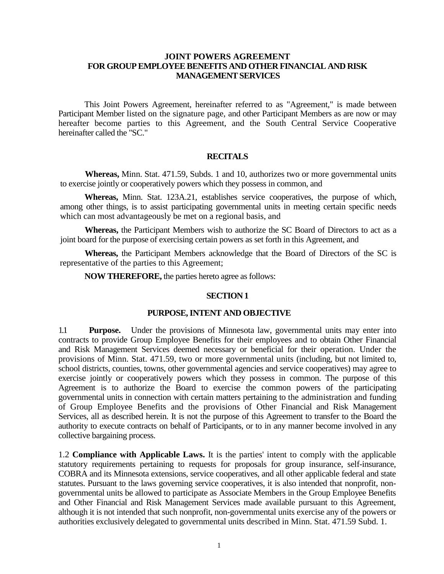#### **JOINT POWERS AGREEMENT FOR GROUP EMPLOYEE BENEFITS AND OTHER FINANCIAL AND RISK MANAGEMENT SERVICES**

This Joint Powers Agreement, hereinafter referred to as "Agreement," is made between Participant Member listed on the signature page, and other Participant Members as are now or may hereafter become parties to this Agreement, and the South Central Service Cooperative hereinafter called the "SC."

#### **RECITALS**

**Whereas,** Minn. Stat. 471.59, Subds. 1 and 10, authorizes two or more governmental units to exercise jointly or cooperatively powers which they possess in common, and

**Whereas,** Minn. Stat. 123A.21, establishes service cooperatives, the purpose of which, among other things, is to assist participating governmental units in meeting certain specific needs which can most advantageously be met on a regional basis, and

**Whereas,** the Participant Members wish to authorize the SC Board of Directors to act as a joint board for the purpose of exercising certain powers as set forth in this Agreement, and

**Whereas,** the Participant Members acknowledge that the Board of Directors of the SC is representative of the parties to this Agreement;

**NOW THEREFORE,** the parties hereto agree as follows:

#### **SECTION 1**

#### **PURPOSE, INTENT AND OBJECTIVE**

1.1 **Purpose.** Under the provisions of Minnesota law, governmental units may enter into contracts to provide Group Employee Benefits for their employees and to obtain Other Financial and Risk Management Services deemed necessary or beneficial for their operation. Under the provisions of Minn. Stat. 471.59, two or more governmental units (including, but not limited to, school districts, counties, towns, other governmental agencies and service cooperatives) may agree to exercise jointly or cooperatively powers which they possess in common. The purpose of this Agreement is to authorize the Board to exercise the common powers of the participating governmental units in connection with certain matters pertaining to the administration and funding of Group Employee Benefits and the provisions of Other Financial and Risk Management Services, all as described herein. It is not the purpose of this Agreement to transfer to the Board the authority to execute contracts on behalf of Participants, or to in any manner become involved in any collective bargaining process.

1.2 **Compliance with Applicable Laws.** It is the parties' intent to comply with the applicable statutory requirements pertaining to requests for proposals for group insurance, self-insurance, COBRA and its Minnesota extensions, service cooperatives, and all other applicable federal and state statutes. Pursuant to the laws governing service cooperatives, it is also intended that nonprofit, nongovernmental units be allowed to participate as Associate Members in the Group Employee Benefits and Other Financial and Risk Management Services made available pursuant to this Agreement, although it is not intended that such nonprofit, non-governmental units exercise any of the powers or authorities exclusively delegated to governmental units described in Minn. Stat. 471.59 Subd. 1.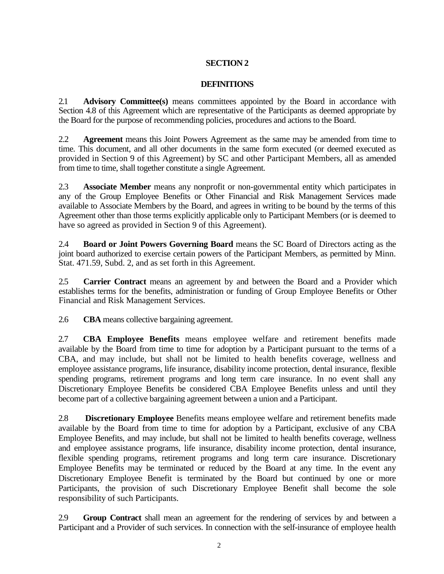## **SECTION 2**

### **DEFINITIONS**

2.1 **Advisory Committee(s)** means committees appointed by the Board in accordance with Section 4.8 of this Agreement which are representative of the Participants as deemed appropriate by the Board for the purpose of recommending policies, procedures and actions to the Board.

2.2 **Agreement** means this Joint Powers Agreement as the same may be amended from time to time. This document, and all other documents in the same form executed (or deemed executed as provided in Section 9 of this Agreement) by SC and other Participant Members, all as amended from time to time, shall together constitute a single Agreement.

2.3 **Associate Member** means any nonprofit or non-governmental entity which participates in any of the Group Employee Benefits or Other Financial and Risk Management Services made available to Associate Members by the Board, and agrees in writing to be bound by the terms of this Agreement other than those terms explicitly applicable only to Participant Members (or is deemed to have so agreed as provided in Section 9 of this Agreement).

2.4 **Board or Joint Powers Governing Board** means the SC Board of Directors acting as the joint board authorized to exercise certain powers of the Participant Members, as permitted by Minn. Stat. 471.59, Subd. 2, and as set forth in this Agreement.

2.5 **Carrier Contract** means an agreement by and between the Board and a Provider which establishes terms for the benefits, administration or funding of Group Employee Benefits or Other Financial and Risk Management Services.

2.6 **CBA** means collective bargaining agreement.

2.7 **CBA Employee Benefits** means employee welfare and retirement benefits made available by the Board from time to time for adoption by a Participant pursuant to the terms of a CBA, and may include, but shall not be limited to health benefits coverage, wellness and employee assistance programs, life insurance, disability income protection, dental insurance, flexible spending programs, retirement programs and long term care insurance. In no event shall any Discretionary Employee Benefits be considered CBA Employee Benefits unless and until they become part of a collective bargaining agreement between a union and a Participant.

2.8 **Discretionary Employee** Benefits means employee welfare and retirement benefits made available by the Board from time to time for adoption by a Participant, exclusive of any CBA Employee Benefits, and may include, but shall not be limited to health benefits coverage, wellness and employee assistance programs, life insurance, disability income protection, dental insurance, flexible spending programs, retirement programs and long term care insurance. Discretionary Employee Benefits may be terminated or reduced by the Board at any time. In the event any Discretionary Employee Benefit is terminated by the Board but continued by one or more Participants, the provision of such Discretionary Employee Benefit shall become the sole responsibility of such Participants.

2.9 **Group Contract** shall mean an agreement for the rendering of services by and between a Participant and a Provider of such services. In connection with the self-insurance of employee health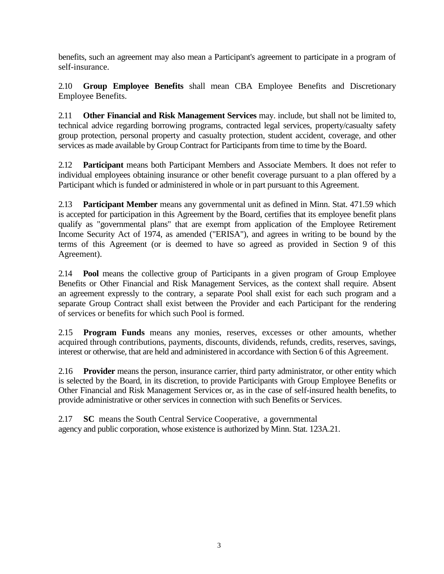benefits, such an agreement may also mean a Participant's agreement to participate in a program of self-insurance.

2.10 **Group Employee Benefits** shall mean CBA Employee Benefits and Discretionary Employee Benefits.

2.11 **Other Financial and Risk Management Services** may. include, but shall not be limited to, technical advice regarding borrowing programs, contracted legal services, property/casualty safety group protection, personal property and casualty protection, student accident, coverage, and other services as made available by Group Contract for Participants from time to time by the Board.

2.12 **Participant** means both Participant Members and Associate Members. It does not refer to individual employees obtaining insurance or other benefit coverage pursuant to a plan offered by a Participant which is funded or administered in whole or in part pursuant to this Agreement.

2.13 **Participant Member** means any governmental unit as defined in Minn. Stat. 471.59 which is accepted for participation in this Agreement by the Board, certifies that its employee benefit plans qualify as "governmental plans" that are exempt from application of the Employee Retirement Income Security Act of 1974, as amended ("ERISA"), and agrees in writing to be bound by the terms of this Agreement (or is deemed to have so agreed as provided in Section 9 of this Agreement).

2.14 **Pool** means the collective group of Participants in a given program of Group Employee Benefits or Other Financial and Risk Management Services, as the context shall require. Absent an agreement expressly to the contrary, a separate Pool shall exist for each such program and a separate Group Contract shall exist between the Provider and each Participant for the rendering of services or benefits for which such Pool is formed.

2.15 **Program Funds** means any monies, reserves, excesses or other amounts, whether acquired through contributions, payments, discounts, dividends, refunds, credits, reserves, savings, interest or otherwise, that are held and administered in accordance with Section 6 of this Agreement.

2.16 **Provider** means the person, insurance carrier, third party administrator, or other entity which is selected by the Board, in its discretion, to provide Participants with Group Employee Benefits or Other Financial and Risk Management Services or, as in the case of self-insured health benefits, to provide administrative or other services in connection with such Benefits or Services.

2.17 **SC** means the South Central Service Cooperative, a governmental agency and public corporation, whose existence is authorized by Minn. Stat. 123A.21.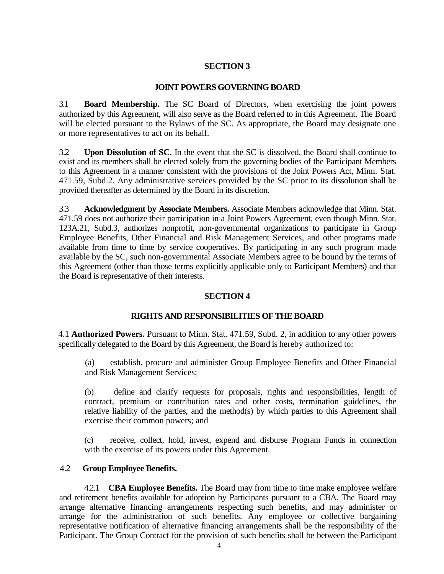## **SECTION 3**

#### **JOINT POWERS GOVERNING BOARD**

3.1 **Board Membership.** The SC Board of Directors, when exercising the joint powers authorized by this Agreement, will also serve as the Board referred to in this Agreement. The Board will be elected pursuant to the Bylaws of the SC. As appropriate, the Board may designate one or more representatives to act on its behalf.

3.2 **Upon Dissolution of SC.** In the event that the SC is dissolved, the Board shall continue to exist and its members shall be elected solely from the governing bodies of the Participant Members to this Agreement in a manner consistent with the provisions of the Joint Powers Act, Minn. Stat. 471.59, Subd.2. Any administrative services provided by the SC prior to its dissolution shall be provided thereafter as determined by the Board in its discretion.

3.3 **Acknowledgment by Associate Members.** Associate Members acknowledge that Minn. Stat. 471.59 does not authorize their participation in a Joint Powers Agreement, even though Minn. Stat. 123A.21, Subd.3, authorizes nonprofit, non-governmental organizations to participate in Group Employee Benefits, Other Financial and Risk Management Services, and other programs made available from time to time by service cooperatives. By participating in any such program made available by the SC, such non-governmental Associate Members agree to be bound by the terms of this Agreement (other than those terms explicitly applicable only to Participant Members) and that the Board is representative of their interests.

### **SECTION 4**

### **RIGHTS AND RESPONSIBILITIES OF THE BOARD**

4.1 **Authorized Powers.** Pursuant to Minn. Stat. 471.59, Subd. 2, in addition to any other powers specifically delegated to the Board by this Agreement, the Board is hereby authorized to:

(a) establish, procure and administer Group Employee Benefits and Other Financial and Risk Management Services;

(b) define and clarify requests for proposals, rights and responsibilities, length of contract, premium or contribution rates and other costs, termination guidelines, the relative liability of the parties, and the method(s) by which parties to this Agreement shall exercise their common powers; and

(c) receive, collect, hold, invest, expend and disburse Program Funds in connection with the exercise of its powers under this Agreement.

### 4.2 **Group Employee Benefits.**

4.2.1 **CBA Employee Benefits.** The Board may from time to time make employee welfare and retirement benefits available for adoption by Participants pursuant to a CBA. The Board may arrange alternative financing arrangements respecting such benefits, and may administer or arrange for the administration of such benefits. Any employee or collective bargaining representative notification of alternative financing arrangements shall be the responsibility of the Participant. The Group Contract for the provision of such benefits shall be between the Participant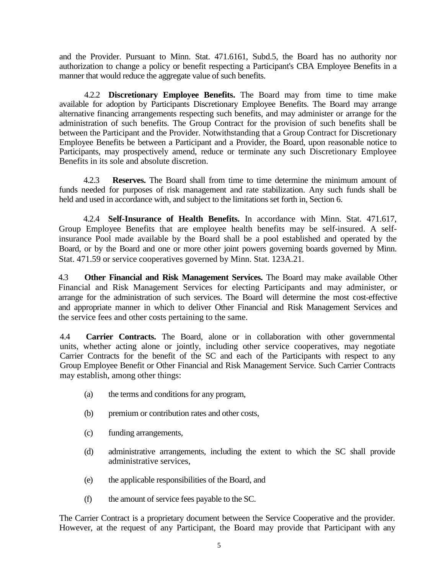and the Provider. Pursuant to Minn. Stat. 471.6161, Subd.5, the Board has no authority nor authorization to change a policy or benefit respecting a Participant's CBA Employee Benefits in a manner that would reduce the aggregate value of such benefits.

4.2.2 **Discretionary Employee Benefits.** The Board may from time to time make available for adoption by Participants Discretionary Employee Benefits. The Board may arrange alternative financing arrangements respecting such benefits, and may administer or arrange for the administration of such benefits. The Group Contract for the provision of such benefits shall be between the Participant and the Provider. Notwithstanding that a Group Contract for Discretionary Employee Benefits be between a Participant and a Provider, the Board, upon reasonable notice to Participants, may prospectively amend, reduce or terminate any such Discretionary Employee Benefits in its sole and absolute discretion.

4.2.3 **Reserves.** The Board shall from time to time determine the minimum amount of funds needed for purposes of risk management and rate stabilization. Any such funds shall be held and used in accordance with, and subject to the limitations set forth in, Section 6.

4.2.4 **Self-Insurance of Health Benefits.** In accordance with Minn. Stat. 471.617, Group Employee Benefits that are employee health benefits may be self-insured. A selfinsurance Pool made available by the Board shall be a pool established and operated by the Board, or by the Board and one or more other joint powers governing boards governed by Minn. Stat. 471.59 or service cooperatives governed by Minn. Stat. 123A.21.

4.3 **Other Financial and Risk Management Services.** The Board may make available Other Financial and Risk Management Services for electing Participants and may administer, or arrange for the administration of such services. The Board will determine the most cost-effective and appropriate manner in which to deliver Other Financial and Risk Management Services and the service fees and other costs pertaining to the same.

4.4 **Carrier Contracts.** The Board, alone or in collaboration with other governmental units, whether acting alone or jointly, including other service cooperatives, may negotiate Carrier Contracts for the benefit of the SC and each of the Participants with respect to any Group Employee Benefit or Other Financial and Risk Management Service. Such Carrier Contracts may establish, among other things:

- (a) the terms and conditions for any program,
- (b) premium or contribution rates and other costs,
- (c) funding arrangements,
- (d) administrative arrangements, including the extent to which the SC shall provide administrative services,
- (e) the applicable responsibilities of the Board, and
- (f) the amount of service fees payable to the SC.

The Carrier Contract is a proprietary document between the Service Cooperative and the provider. However, at the request of any Participant, the Board may provide that Participant with any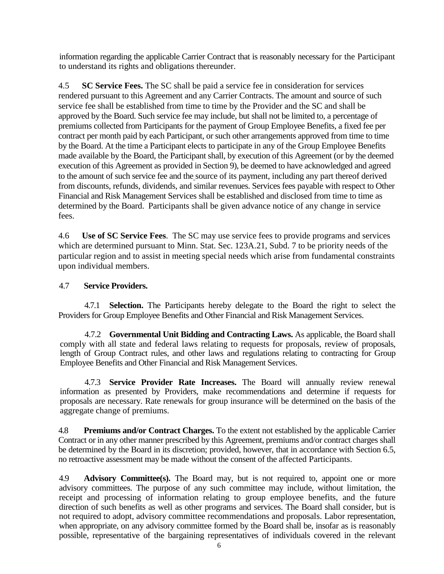information regarding the applicable Carrier Contract that is reasonably necessary for the Participant to understand its rights and obligations thereunder.

4.5 **SC Service Fees.** The SC shall be paid a service fee in consideration for services rendered pursuant to this Agreement and any Carrier Contracts. The amount and source of such service fee shall be established from time to time by the Provider and the SC and shall be approved by the Board. Such service fee may include, but shall not be limited to, a percentage of premiums collected from Participants for the payment of Group Employee Benefits, a fixed fee per contract per month paid by each Participant, or such other arrangements approved from time to time by the Board. At the time a Participant elects to participate in any of the Group Employee Benefits made available by the Board, the Participant shall, by execution of this Agreement (or by the deemed execution of this Agreement as provided in Section 9), be deemed to have acknowledged and agreed to the amount of such service fee and the source of its payment, including any part thereof derived from discounts, refunds, dividends, and similar revenues. Services fees payable with respect to Other Financial and Risk Management Services shall be established and disclosed from time to time as determined by the Board. Participants shall be given advance notice of any change in service fees.

4.6 **Use of SC Service Fees**. The SC may use service fees to provide programs and services which are determined pursuant to Minn. Stat. Sec. 123A.21, Subd. 7 to be priority needs of the particular region and to assist in meeting special needs which arise from fundamental constraints upon individual members.

## 4.7 **Service Providers.**

4.7.1 **Selection.** The Participants hereby delegate to the Board the right to select the Providers for Group Employee Benefits and Other Financial and Risk Management Services.

4.7.2 **Governmental Unit Bidding and Contracting Laws.** As applicable, the Board shall comply with all state and federal laws relating to requests for proposals, review of proposals, length of Group Contract rules, and other laws and regulations relating to contracting for Group Employee Benefits and Other Financial and Risk Management Services.

4.7.3 **Service Provider Rate Increases.** The Board will annually review renewal information as presented by Providers, make recommendations and determine if requests for proposals are necessary. Rate renewals for group insurance will be determined on the basis of the aggregate change of premiums.

4.8 **Premiums and/or Contract Charges.** To the extent not established by the applicable Carrier Contract or in any other manner prescribed by this Agreement, premiums and/or contract charges shall be determined by the Board in its discretion; provided, however, that in accordance with Section 6.5, no retroactive assessment may be made without the consent of the affected Participants.

4.9 **Advisory Committee(s).** The Board may, but is not required to, appoint one or more advisory committees. The purpose of any such committee may include, without limitation, the receipt and processing of information relating to group employee benefits, and the future direction of such benefits as well as other programs and services. The Board shall consider, but is not required to adopt, advisory committee recommendations and proposals. Labor representation, when appropriate, on any advisory committee formed by the Board shall be, insofar as is reasonably possible, representative of the bargaining representatives of individuals covered in the relevant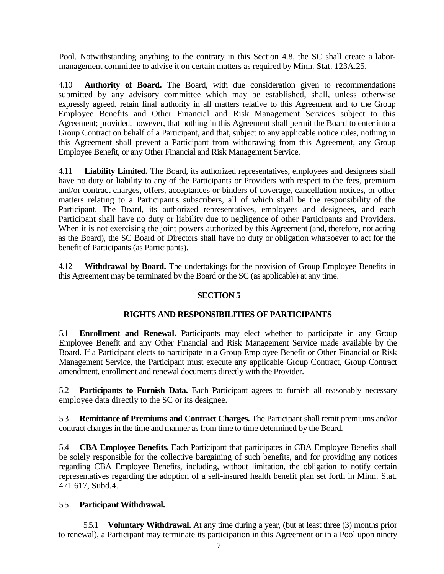Pool. Notwithstanding anything to the contrary in this Section 4.8, the SC shall create a labormanagement committee to advise it on certain matters as required by Minn. Stat. 123A.25.

4.10 **Authority of Board.** The Board, with due consideration given to recommendations submitted by any advisory committee which may be established, shall, unless otherwise expressly agreed, retain final authority in all matters relative to this Agreement and to the Group Employee Benefits and Other Financial and Risk Management Services subject to this Agreement; provided, however, that nothing in this Agreement shall permit the Board to enter into a Group Contract on behalf of a Participant, and that, subject to any applicable notice rules, nothing in this Agreement shall prevent a Participant from withdrawing from this Agreement, any Group Employee Benefit, or any Other Financial and Risk Management Service.

4.11 **Liability Limited.** The Board, its authorized representatives, employees and designees shall have no duty or liability to any of the Participants or Providers with respect to the fees, premium and/or contract charges, offers, acceptances or binders of coverage, cancellation notices, or other matters relating to a Participant's subscribers, all of which shall be the responsibility of the Participant. The Board, its authorized representatives, employees and designees, and each Participant shall have no duty or liability due to negligence of other Participants and Providers. When it is not exercising the joint powers authorized by this Agreement (and, therefore, not acting as the Board), the SC Board of Directors shall have no duty or obligation whatsoever to act for the benefit of Participants (as Participants).

4.12 **Withdrawal by Board.** The undertakings for the provision of Group Employee Benefits in this Agreement may be terminated by the Board or the SC (as applicable) at any time.

## **SECTION 5**

### **RIGHTS AND RESPONSIBILITIES OF PARTICIPANTS**

5.1 **Enrollment and Renewal.** Participants may elect whether to participate in any Group Employee Benefit and any Other Financial and Risk Management Service made available by the Board. If a Participant elects to participate in a Group Employee Benefit or Other Financial or Risk Management Service, the Participant must execute any applicable Group Contract, Group Contract amendment, enrollment and renewal documents directly with the Provider.

5.2 **Participants to Furnish Data.** Each Participant agrees to furnish all reasonably necessary employee data directly to the SC or its designee.

5.3 **Remittance of Premiums and Contract Charges.** The Participant shall remit premiums and/or contract charges in the time and manner as from time to time determined by the Board.

5.4 **CBA Employee Benefits.** Each Participant that participates in CBA Employee Benefits shall be solely responsible for the collective bargaining of such benefits, and for providing any notices regarding CBA Employee Benefits, including, without limitation, the obligation to notify certain representatives regarding the adoption of a self-insured health benefit plan set forth in Minn. Stat. 471.617, Subd.4.

### 5.5 **Participant Withdrawal.**

5.5.1 **Voluntary Withdrawal.** At any time during a year, (but at least three (3) months prior to renewal), a Participant may terminate its participation in this Agreement or in a Pool upon ninety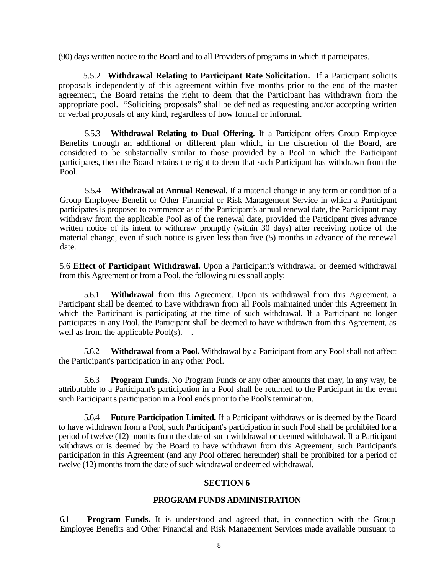(90) days written notice to the Board and to all Providers of programs in which it participates.

5.5.2 **Withdrawal Relating to Participant Rate Solicitation.** If a Participant solicits proposals independently of this agreement within five months prior to the end of the master agreement, the Board retains the right to deem that the Participant has withdrawn from the appropriate pool. "Soliciting proposals" shall be defined as requesting and/or accepting written or verbal proposals of any kind, regardless of how formal or informal.

5.5.3 **Withdrawal Relating to Dual Offering.** If a Participant offers Group Employee Benefits through an additional or different plan which, in the discretion of the Board, are considered to be substantially similar to those provided by a Pool in which the Participant participates, then the Board retains the right to deem that such Participant has withdrawn from the Pool.

5.5.4 **Withdrawal at Annual Renewal.** If a material change in any term or condition of a Group Employee Benefit or Other Financial or Risk Management Service in which a Participant participates is proposed to commence as of the Participant's annual renewal date, the Participant may withdraw from the applicable Pool as of the renewal date, provided the Participant gives advance written notice of its intent to withdraw promptly (within 30 days) after receiving notice of the material change, even if such notice is given less than five (5) months in advance of the renewal date.

5.6 **Effect of Participant Withdrawal.** Upon a Participant's withdrawal or deemed withdrawal from this Agreement or from a Pool, the following rules shall apply:

5.6.1 **Withdrawal** from this Agreement. Upon its withdrawal from this Agreement, a Participant shall be deemed to have withdrawn from all Pools maintained under this Agreement in which the Participant is participating at the time of such withdrawal. If a Participant no longer participates in any Pool, the Participant shall be deemed to have withdrawn from this Agreement, as well as from the applicable Pool(s). .

5.6.2 **Withdrawal from a Pool.** Withdrawal by a Participant from any Pool shall not affect the Participant's participation in any other Pool.

5.6.3 **Program Funds.** No Program Funds or any other amounts that may, in any way, be attributable to a Participant's participation in a Pool shall be returned to the Participant in the event such Participant's participation in a Pool ends prior to the Pool's termination.

5.6.4 **Future Participation Limited.** If a Participant withdraws or is deemed by the Board to have withdrawn from a Pool, such Participant's participation in such Pool shall be prohibited for a period of twelve (12) months from the date of such withdrawal or deemed withdrawal. If a Participant withdraws or is deemed by the Board to have withdrawn from this Agreement, such Participant's participation in this Agreement (and any Pool offered hereunder) shall be prohibited for a period of twelve (12) months from the date of such withdrawal or deemed withdrawal.

### **SECTION 6**

### **PROGRAM FUNDS ADMINISTRATION**

6.1 **Program Funds.** It is understood and agreed that, in connection with the Group Employee Benefits and Other Financial and Risk Management Services made available pursuant to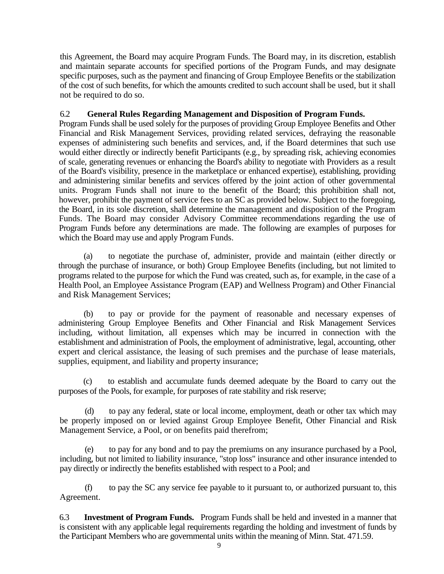this Agreement, the Board may acquire Program Funds. The Board may, in its discretion, establish and maintain separate accounts for specified portions of the Program Funds, and may designate specific purposes, such as the payment and financing of Group Employee Benefits or the stabilization of the cost of such benefits, for which the amounts credited to such account shall be used, but it shall not be required to do so.

## 6.2 **General Rules Regarding Management and Disposition of Program Funds.**

Program Funds shall be used solely for the purposes of providing Group Employee Benefits and Other Financial and Risk Management Services, providing related services, defraying the reasonable expenses of administering such benefits and services, and, if the Board determines that such use would either directly or indirectly benefit Participants (e.g., by spreading risk, achieving economies of scale, generating revenues or enhancing the Board's ability to negotiate with Providers as a result of the Board's visibility, presence in the marketplace or enhanced expertise), establishing, providing and administering similar benefits and services offered by the joint action of other governmental units. Program Funds shall not inure to the benefit of the Board; this prohibition shall not, however, prohibit the payment of service fees to an SC as provided below. Subject to the foregoing, the Board, in its sole discretion, shall determine the management and disposition of the Program Funds. The Board may consider Advisory Committee recommendations regarding the use of Program Funds before any determinations are made. The following are examples of purposes for which the Board may use and apply Program Funds.

(a) to negotiate the purchase of, administer, provide and maintain (either directly or through the purchase of insurance, or both) Group Employee Benefits (including, but not limited to programs related to the purpose for which the Fund was created, such as, for example, in the case of a Health Pool, an Employee Assistance Program (EAP) and Wellness Program) and Other Financial and Risk Management Services;

(b) to pay or provide for the payment of reasonable and necessary expenses of administering Group Employee Benefits and Other Financial and Risk Management Services including, without limitation, all expenses which may be incurred in connection with the establishment and administration of Pools, the employment of administrative, legal, accounting, other expert and clerical assistance, the leasing of such premises and the purchase of lease materials, supplies, equipment, and liability and property insurance;

(c) to establish and accumulate funds deemed adequate by the Board to carry out the purposes of the Pools, for example, for purposes of rate stability and risk reserve;

to pay any federal, state or local income, employment, death or other tax which may be properly imposed on or levied against Group Employee Benefit, Other Financial and Risk Management Service, a Pool, or on benefits paid therefrom;

(e) to pay for any bond and to pay the premiums on any insurance purchased by a Pool, including, but not limited to liability insurance, "stop loss" insurance and other insurance intended to pay directly or indirectly the benefits established with respect to a Pool; and

(f) to pay the SC any service fee payable to it pursuant to, or authorized pursuant to, this Agreement.

6.3 **Investment of Program Funds.** Program Funds shall be held and invested in a manner that is consistent with any applicable legal requirements regarding the holding and investment of funds by the Participant Members who are governmental units within the meaning of Minn. Stat. 471.59.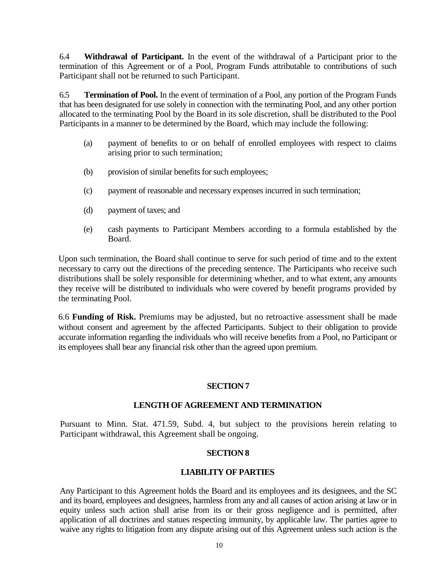6.4 **Withdrawal of Participant.** In the event of the withdrawal of a Participant prior to the termination of this Agreement or of a Pool, Program Funds attributable to contributions of such Participant shall not be returned to such Participant.

6.5 **Termination of Pool.** In the event of termination of a Pool, any portion of the Program Funds that has been designated for use solely in connection with the terminating Pool, and any other portion allocated to the terminating Pool by the Board in its sole discretion, shall be distributed to the Pool Participants in a manner to be determined by the Board, which may include the following:

- (a) payment of benefits to or on behalf of enrolled employees with respect to claims arising prior to such termination;
- (b) provision of similar benefits for such employees;
- (c) payment of reasonable and necessary expenses incurred in such termination;
- (d) payment of taxes; and
- (e) cash payments to Participant Members according to a formula established by the Board.

Upon such termination, the Board shall continue to serve for such period of time and to the extent necessary to carry out the directions of the preceding sentence. The Participants who receive such distributions shall be solely responsible for determining whether, and to what extent, any amounts they receive will be distributed to individuals who were covered by benefit programs provided by the terminating Pool.

6.6 **Funding of Risk.** Premiums may be adjusted, but no retroactive assessment shall be made without consent and agreement by the affected Participants. Subject to their obligation to provide accurate information regarding the individuals who will receive benefits from a Pool, no Participant or its employees shall bear any financial risk other than the agreed upon premium.

### **SECTION 7**

#### **LENGTH OF AGREEMENT AND TERMINATION**

Pursuant to Minn. Stat. 471.59, Subd. 4, but subject to the provisions herein relating to Participant withdrawal, this Agreement shall be ongoing.

#### **SECTION 8**

## **LIABILITY OF PARTIES**

Any Participant to this Agreement holds the Board and its employees and its designees, and the SC and its board, employees and designees, harmless from any and all causes of action arising at law or in equity unless such action shall arise from its or their gross negligence and is permitted, after application of all doctrines and statues respecting immunity, by applicable law. The parties agree to waive any rights to litigation from any dispute arising out of this Agreement unless such action is the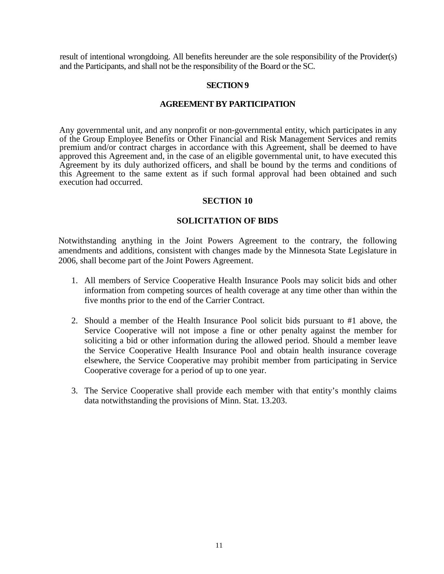result of intentional wrongdoing. All benefits hereunder are the sole responsibility of the Provider(s) and the Participants, and shall not be the responsibility of the Board or the SC.

#### **SECTION 9**

#### **AGREEMENT BY PARTICIPATION**

Any governmental unit, and any nonprofit or non-governmental entity, which participates in any of the Group Employee Benefits or Other Financial and Risk Management Services and remits premium and/or contract charges in accordance with this Agreement, shall be deemed to have approved this Agreement and, in the case of an eligible governmental unit, to have executed this Agreement by its duly authorized officers, and shall be bound by the terms and conditions of this Agreement to the same extent as if such formal approval had been obtained and such execution had occurred.

#### **SECTION 10**

#### **SOLICITATION OF BIDS**

Notwithstanding anything in the Joint Powers Agreement to the contrary, the following amendments and additions, consistent with changes made by the Minnesota State Legislature in 2006, shall become part of the Joint Powers Agreement.

- 1. All members of Service Cooperative Health Insurance Pools may solicit bids and other information from competing sources of health coverage at any time other than within the five months prior to the end of the Carrier Contract.
- 2. Should a member of the Health Insurance Pool solicit bids pursuant to #1 above, the Service Cooperative will not impose a fine or other penalty against the member for soliciting a bid or other information during the allowed period. Should a member leave the Service Cooperative Health Insurance Pool and obtain health insurance coverage elsewhere, the Service Cooperative may prohibit member from participating in Service Cooperative coverage for a period of up to one year.
- 3. The Service Cooperative shall provide each member with that entity's monthly claims data notwithstanding the provisions of Minn. Stat. 13.203.